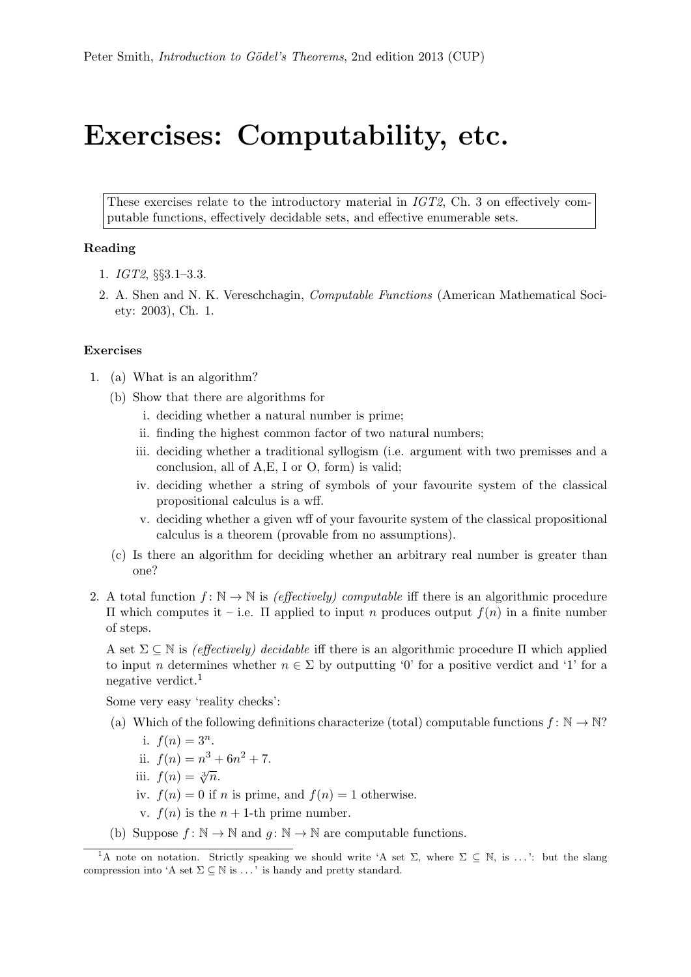## Exercises: Computability, etc.

These exercises relate to the introductory material in IGT2, Ch. 3 on effectively computable functions, effectively decidable sets, and effective enumerable sets.

## Reading

- 1. IGT2, §§3.1–3.3.
- 2. A. Shen and N. K. Vereschchagin, Computable Functions (American Mathematical Society: 2003), Ch. 1.

## Exercises

- 1. (a) What is an algorithm?
	- (b) Show that there are algorithms for
		- i. deciding whether a natural number is prime;
		- ii. finding the highest common factor of two natural numbers;
		- iii. deciding whether a traditional syllogism (i.e. argument with two premisses and a conclusion, all of A,E, I or O, form) is valid;
		- iv. deciding whether a string of symbols of your favourite system of the classical propositional calculus is a wff.
		- v. deciding whether a given wff of your favourite system of the classical propositional calculus is a theorem (provable from no assumptions).
	- (c) Is there an algorithm for deciding whether an arbitrary real number is greater than one?
- 2. A total function  $f: \mathbb{N} \to \mathbb{N}$  is (effectively) computable iff there is an algorithmic procedure Π which computes it – i.e. Π applied to input n produces output f(n) in a finite number of steps.

A set  $\Sigma \subseteq \mathbb{N}$  is *(effectively) decidable* iff there is an algorithmic procedure  $\Pi$  which applied to input *n* determines whether  $n \in \Sigma$  by outputting '0' for a positive verdict and '1' for a negative verdict.<sup>1</sup>

Some very easy 'reality checks':

- (a) Which of the following definitions characterize (total) computable functions  $f: \mathbb{N} \to \mathbb{N}$ ?
	- i.  $f(n) = 3^n$ .
	- ii.  $f(n) = n^3 + 6n^2 + 7$ .
	- iii.  $f(n) = \sqrt[3]{n}$ .
	- iv.  $f(n) = 0$  if n is prime, and  $f(n) = 1$  otherwise.
	- v.  $f(n)$  is the  $n + 1$ -th prime number.
- (b) Suppose  $f: \mathbb{N} \to \mathbb{N}$  and  $q: \mathbb{N} \to \mathbb{N}$  are computable functions.

<sup>&</sup>lt;sup>1</sup>A note on notation. Strictly speaking we should write 'A set  $\Sigma$ , where  $\Sigma \subset \mathbb{N}$ , is ...': but the slang compression into 'A set  $\Sigma \subseteq \mathbb{N}$  is ...' is handy and pretty standard.